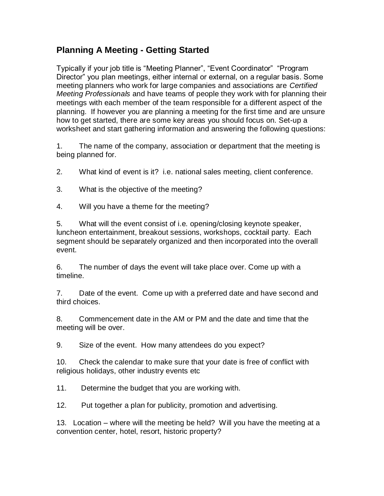## **Planning A Meeting - Getting Started**

Typically if your job title is "Meeting Planner", "Event Coordinator" "Program Director" you plan meetings, either internal or external, on a regular basis. Some meeting planners who work for large companies and associations are *Certified Meeting Professionals* and have teams of people they work with for planning their meetings with each member of the team responsible for a different aspect of the planning. If however you are planning a meeting for the first time and are unsure how to get started, there are some key areas you should focus on. Set-up a worksheet and start gathering information and answering the following questions:

1. The name of the company, association or department that the meeting is being planned for.

2. What kind of event is it? i.e. national sales meeting, client conference.

3. What is the objective of the meeting?

4. Will you have a theme for the meeting?

5. What will the event consist of i.e. opening/closing keynote speaker, luncheon entertainment, breakout sessions, workshops, cocktail party. Each segment should be separately organized and then incorporated into the overall event.

6. The number of days the event will take place over. Come up with a timeline.

7. Date of the event. Come up with a preferred date and have second and third choices.

8. Commencement date in the AM or PM and the date and time that the meeting will be over.

9. Size of the event. How many attendees do you expect?

10. Check the calendar to make sure that your date is free of conflict with religious holidays, other industry events etc

11. Determine the budget that you are working with.

12. Put together a plan for publicity, promotion and advertising.

13. Location – where will the meeting be held? Will you have the meeting at a convention center, hotel, resort, historic property?